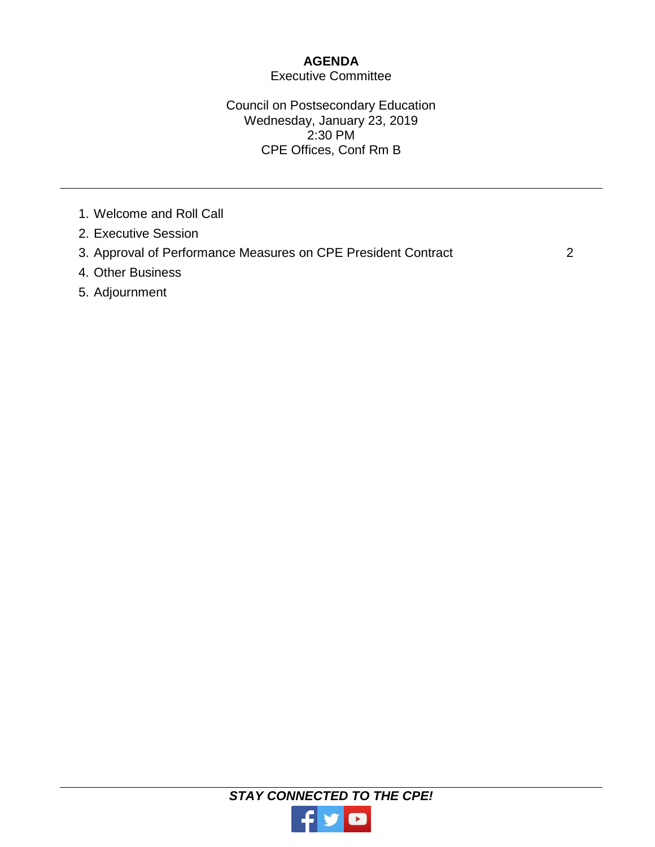# **AGENDA**

## Executive Committee

## Council on Postsecondary Education Wednesday, January 23, 2019 2:30 PM CPE Offices, Conf Rm B

- 1. Welcome and Roll Call
- 2. Executive Session
- 3. Approval of Performance Measures on CPE President Contract 2
- 4. Other Business
- 5. Adjournment

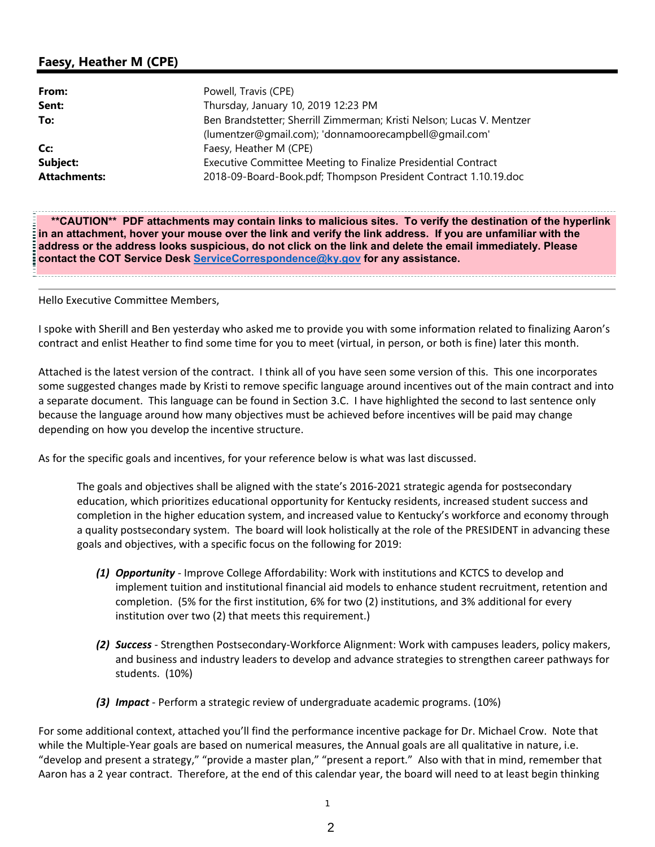## **Faesy, Heather M (CPE)**

| From:               | Powell, Travis (CPE)                                                  |
|---------------------|-----------------------------------------------------------------------|
| Sent:               | Thursday, January 10, 2019 12:23 PM                                   |
| To:                 | Ben Brandstetter; Sherrill Zimmerman; Kristi Nelson; Lucas V. Mentzer |
|                     | (lumentzer@qmail.com); 'donnamoorecampbell@qmail.com'                 |
| Cc:                 | Faesy, Heather M (CPE)                                                |
| Subject:            | Executive Committee Meeting to Finalize Presidential Contract         |
| <b>Attachments:</b> | 2018-09-Board-Book.pdf; Thompson President Contract 1.10.19.doc       |

**\*\*CAUTION\*\* PDF attachments may contain links to malicious sites. To verify the destination of the hyperlink in an attachment, hover your mouse over the link and verify the link address. If you are unfamiliar with the address or the address looks suspicious, do not click on the link and delete the email immediately. Please contact the COT Service Desk ServiceCorrespondence@ky.gov for any assistance.** 

Hello Executive Committee Members,

I spoke with Sherill and Ben yesterday who asked me to provide you with some information related to finalizing Aaron's contract and enlist Heather to find some time for you to meet (virtual, in person, or both is fine) later this month.

Attached is the latest version of the contract. I think all of you have seen some version of this. This one incorporates some suggested changes made by Kristi to remove specific language around incentives out of the main contract and into a separate document. This language can be found in Section 3.C. I have highlighted the second to last sentence only because the language around how many objectives must be achieved before incentives will be paid may change depending on how you develop the incentive structure.

As for the specific goals and incentives, for your reference below is what was last discussed.

The goals and objectives shall be aligned with the state's 2016‐2021 strategic agenda for postsecondary education, which prioritizes educational opportunity for Kentucky residents, increased student success and completion in the higher education system, and increased value to Kentucky's workforce and economy through a quality postsecondary system. The board will look holistically at the role of the PRESIDENT in advancing these goals and objectives, with a specific focus on the following for 2019:

- *(1) Opportunity* ‐ Improve College Affordability: Work with institutions and KCTCS to develop and implement tuition and institutional financial aid models to enhance student recruitment, retention and completion. (5% for the first institution, 6% for two (2) institutions, and 3% additional for every institution over two (2) that meets this requirement.)
- *(2) Success* ‐ Strengthen Postsecondary‐Workforce Alignment: Work with campuses leaders, policy makers, and business and industry leaders to develop and advance strategies to strengthen career pathways for students. (10%)
- *(3) Impact* ‐ Perform a strategic review of undergraduate academic programs. (10%)

For some additional context, attached you'll find the performance incentive package for Dr. Michael Crow. Note that while the Multiple-Year goals are based on numerical measures, the Annual goals are all qualitative in nature, i.e. "develop and present a strategy," "provide a master plan," "present a report." Also with that in mind, remember that Aaron has a 2 year contract. Therefore, at the end of this calendar year, the board will need to at least begin thinking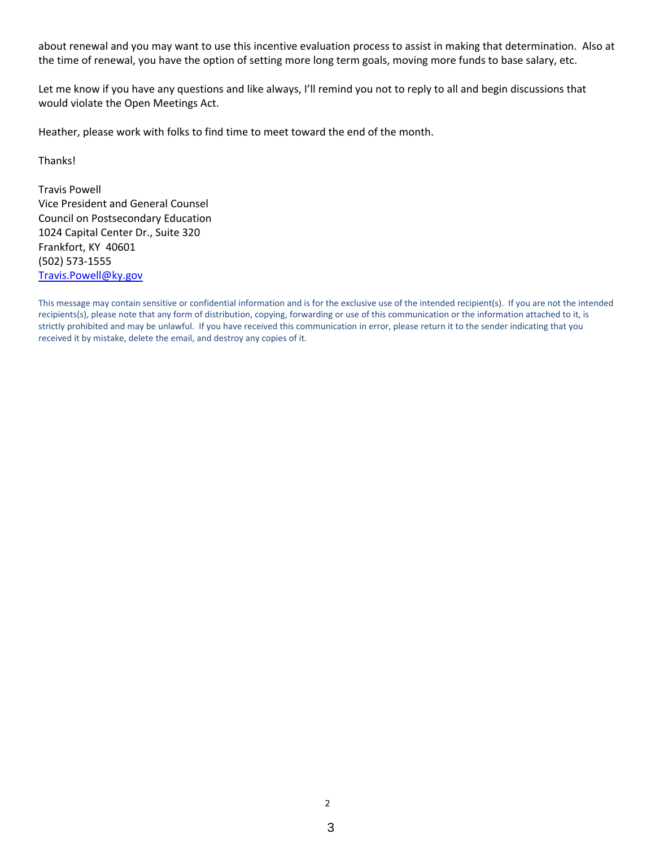about renewal and you may want to use this incentive evaluation process to assist in making that determination. Also at the time of renewal, you have the option of setting more long term goals, moving more funds to base salary, etc.

Let me know if you have any questions and like always, I'll remind you not to reply to all and begin discussions that would violate the Open Meetings Act.

Heather, please work with folks to find time to meet toward the end of the month.

Thanks!

Travis Powell Vice President and General Counsel Council on Postsecondary Education 1024 Capital Center Dr., Suite 320 Frankfort, KY 40601 (502) 573‐1555 Travis.Powell@ky.gov

This message may contain sensitive or confidential information and is for the exclusive use of the intended recipient(s). If you are not the intended recipients(s), please note that any form of distribution, copying, forwarding or use of this communication or the information attached to it, is strictly prohibited and may be unlawful. If you have received this communication in error, please return it to the sender indicating that you received it by mistake, delete the email, and destroy any copies of it.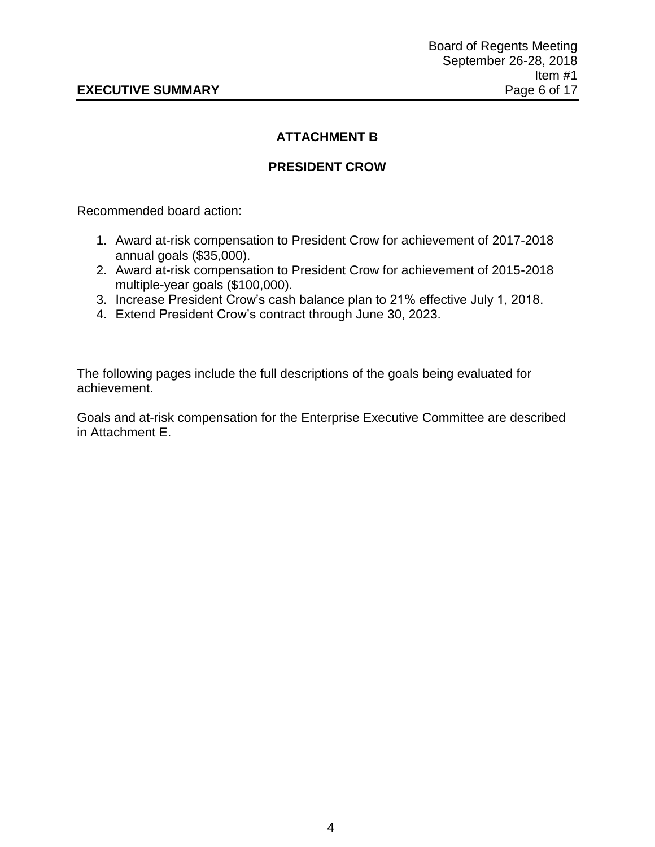# **ATTACHMENT B**

# **PRESIDENT CROW**

Recommended board action:

- 1. Award at-risk compensation to President Crow for achievement of 2017-2018 annual goals (\$35,000).
- 2. Award at-risk compensation to President Crow for achievement of 2015-2018 multiple-year goals (\$100,000).
- 3. Increase President Crow's cash balance plan to 21% effective July 1, 2018.
- 4. Extend President Crow's contract through June 30, 2023.

The following pages include the full descriptions of the goals being evaluated for achievement.

Goals and at-risk compensation for the Enterprise Executive Committee are described in Attachment E.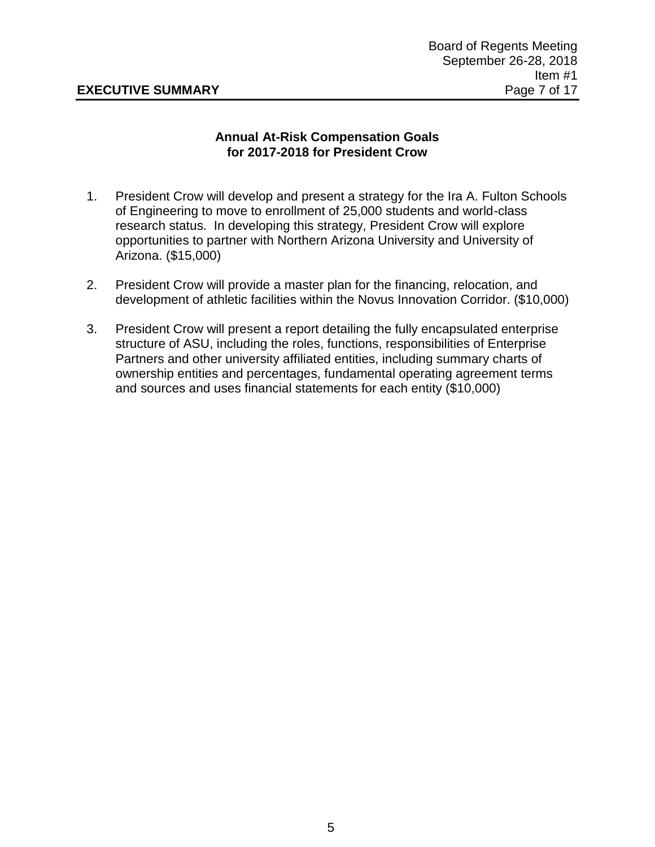## **Annual At-Risk Compensation Goals for 2017-2018 for President Crow**

- 1. President Crow will develop and present a strategy for the Ira A. Fulton Schools of Engineering to move to enrollment of 25,000 students and world-class research status. In developing this strategy, President Crow will explore opportunities to partner with Northern Arizona University and University of Arizona. (\$15,000)
- 2. President Crow will provide a master plan for the financing, relocation, and development of athletic facilities within the Novus Innovation Corridor. (\$10,000)
- 3. President Crow will present a report detailing the fully encapsulated enterprise structure of ASU, including the roles, functions, responsibilities of Enterprise Partners and other university affiliated entities, including summary charts of ownership entities and percentages, fundamental operating agreement terms and sources and uses financial statements for each entity (\$10,000)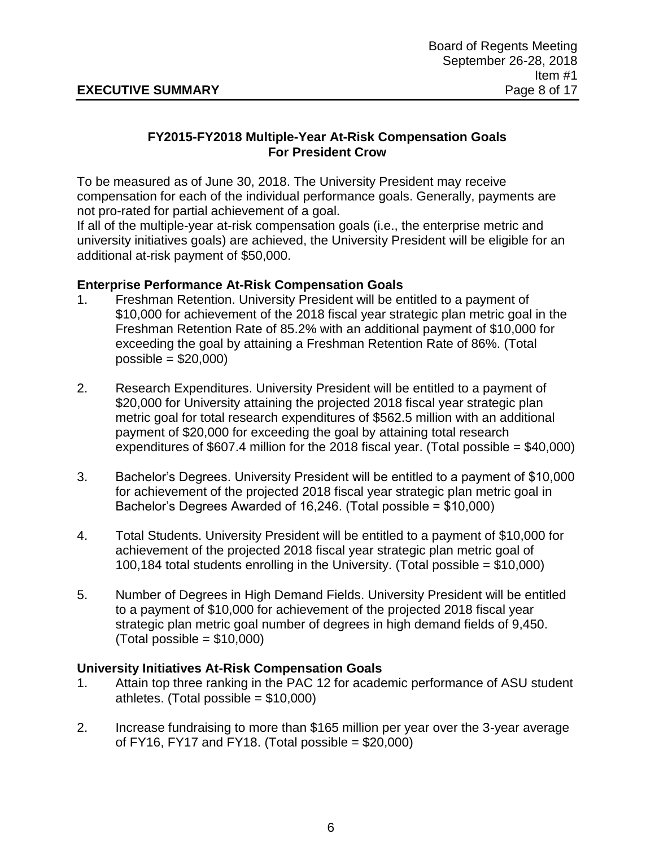## **FY2015-FY2018 Multiple-Year At-Risk Compensation Goals For President Crow**

To be measured as of June 30, 2018. The University President may receive compensation for each of the individual performance goals. Generally, payments are not pro-rated for partial achievement of a goal.

If all of the multiple-year at-risk compensation goals (i.e., the enterprise metric and university initiatives goals) are achieved, the University President will be eligible for an additional at-risk payment of \$50,000.

## **Enterprise Performance At-Risk Compensation Goals**

- 1. Freshman Retention. University President will be entitled to a payment of \$10,000 for achievement of the 2018 fiscal year strategic plan metric goal in the Freshman Retention Rate of 85.2% with an additional payment of \$10,000 for exceeding the goal by attaining a Freshman Retention Rate of 86%. (Total  $possible = $20,000$
- 2. Research Expenditures. University President will be entitled to a payment of \$20,000 for University attaining the projected 2018 fiscal year strategic plan metric goal for total research expenditures of \$562.5 million with an additional payment of \$20,000 for exceeding the goal by attaining total research expenditures of \$607.4 million for the 2018 fiscal year. (Total possible  $= $40,000$ )
- 3. Bachelor's Degrees. University President will be entitled to a payment of \$10,000 for achievement of the projected 2018 fiscal year strategic plan metric goal in Bachelor's Degrees Awarded of 16,246. (Total possible = \$10,000)
- 4. Total Students. University President will be entitled to a payment of \$10,000 for achievement of the projected 2018 fiscal year strategic plan metric goal of 100,184 total students enrolling in the University. (Total possible = \$10,000)
- 5. Number of Degrees in High Demand Fields. University President will be entitled to a payment of \$10,000 for achievement of the projected 2018 fiscal year strategic plan metric goal number of degrees in high demand fields of 9,450.  $(Total possible = $10,000)$

## **University Initiatives At-Risk Compensation Goals**

- 1. Attain top three ranking in the PAC 12 for academic performance of ASU student athletes. (Total possible  $= $10,000$ )
- 2. Increase fundraising to more than \$165 million per year over the 3-year average of FY16, FY17 and FY18. (Total possible  $= $20,000$ )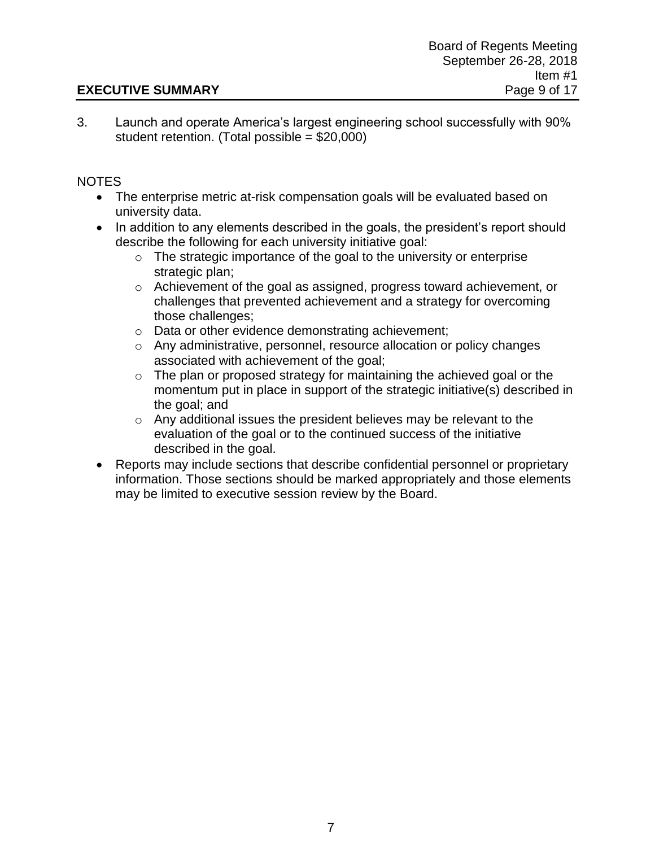## **EXECUTIVE SUMMARY** Page 9 of 17

3. Launch and operate America's largest engineering school successfully with 90% student retention. (Total possible = \$20,000)

## NOTES

- The enterprise metric at-risk compensation goals will be evaluated based on university data.
- In addition to any elements described in the goals, the president's report should describe the following for each university initiative goal:
	- $\circ$  The strategic importance of the goal to the university or enterprise strategic plan;
	- o Achievement of the goal as assigned, progress toward achievement, or challenges that prevented achievement and a strategy for overcoming those challenges;
	- o Data or other evidence demonstrating achievement;
	- o Any administrative, personnel, resource allocation or policy changes associated with achievement of the goal;
	- o The plan or proposed strategy for maintaining the achieved goal or the momentum put in place in support of the strategic initiative(s) described in the goal; and
	- o Any additional issues the president believes may be relevant to the evaluation of the goal or to the continued success of the initiative described in the goal.
- Reports may include sections that describe confidential personnel or proprietary information. Those sections should be marked appropriately and those elements may be limited to executive session review by the Board.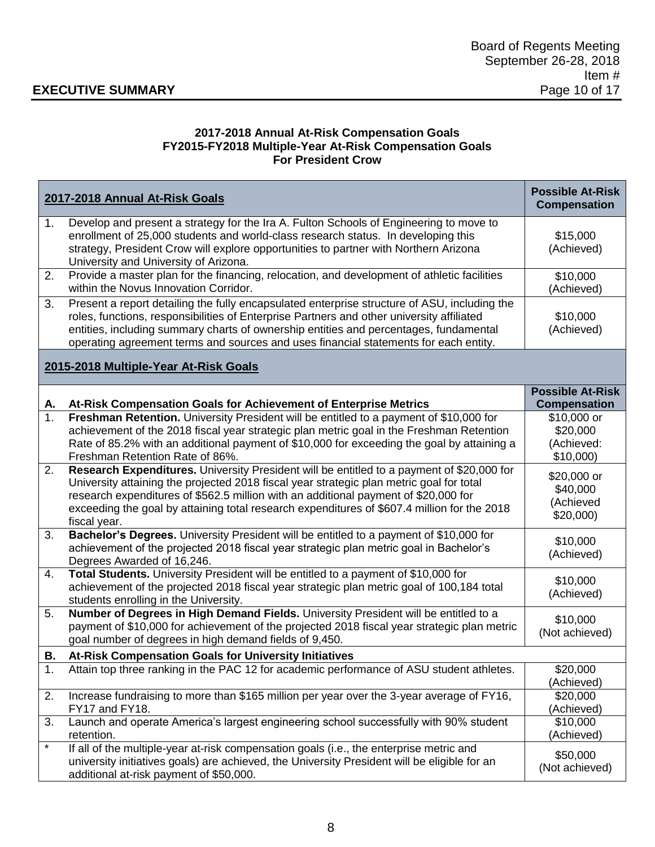# **EXECUTIVE SUMMARY**

#### **2017-2018 Annual At-Risk Compensation Goals FY2015-FY2018 Multiple-Year At-Risk Compensation Goals For President Crow**

| 2017-2018 Annual At-Risk Goals        |                                                                                                                                                                                                                                                                                                                                                                                             | <b>Possible At-Risk</b><br><b>Compensation</b>    |  |
|---------------------------------------|---------------------------------------------------------------------------------------------------------------------------------------------------------------------------------------------------------------------------------------------------------------------------------------------------------------------------------------------------------------------------------------------|---------------------------------------------------|--|
| 1.                                    | Develop and present a strategy for the Ira A. Fulton Schools of Engineering to move to<br>enrollment of 25,000 students and world-class research status. In developing this<br>strategy, President Crow will explore opportunities to partner with Northern Arizona<br>University and University of Arizona.                                                                                | \$15,000<br>(Achieved)                            |  |
| 2.                                    | Provide a master plan for the financing, relocation, and development of athletic facilities<br>within the Novus Innovation Corridor.                                                                                                                                                                                                                                                        | \$10,000<br>(Achieved)                            |  |
| 3.                                    | Present a report detailing the fully encapsulated enterprise structure of ASU, including the<br>roles, functions, responsibilities of Enterprise Partners and other university affiliated<br>entities, including summary charts of ownership entities and percentages, fundamental<br>operating agreement terms and sources and uses financial statements for each entity.                  | \$10,000<br>(Achieved)                            |  |
| 2015-2018 Multiple-Year At-Risk Goals |                                                                                                                                                                                                                                                                                                                                                                                             |                                                   |  |
| Α.                                    | At-Risk Compensation Goals for Achievement of Enterprise Metrics                                                                                                                                                                                                                                                                                                                            | <b>Possible At-Risk</b><br><b>Compensation</b>    |  |
| 1.                                    | Freshman Retention. University President will be entitled to a payment of \$10,000 for<br>achievement of the 2018 fiscal year strategic plan metric goal in the Freshman Retention<br>Rate of 85.2% with an additional payment of \$10,000 for exceeding the goal by attaining a<br>Freshman Retention Rate of 86%.                                                                         | \$10,000 or<br>\$20,000<br>(Achieved:<br>\$10,000 |  |
| 2.                                    | Research Expenditures. University President will be entitled to a payment of \$20,000 for<br>University attaining the projected 2018 fiscal year strategic plan metric goal for total<br>research expenditures of \$562.5 million with an additional payment of \$20,000 for<br>exceeding the goal by attaining total research expenditures of \$607.4 million for the 2018<br>fiscal year. | \$20,000 or<br>\$40,000<br>(Achieved<br>\$20,000  |  |
| 3.                                    | Bachelor's Degrees. University President will be entitled to a payment of \$10,000 for<br>achievement of the projected 2018 fiscal year strategic plan metric goal in Bachelor's<br>Degrees Awarded of 16,246.                                                                                                                                                                              | \$10,000<br>(Achieved)                            |  |
| 4.                                    | Total Students. University President will be entitled to a payment of \$10,000 for<br>achievement of the projected 2018 fiscal year strategic plan metric goal of 100,184 total<br>students enrolling in the University.                                                                                                                                                                    | \$10,000<br>(Achieved)                            |  |
| 5.                                    | Number of Degrees in High Demand Fields. University President will be entitled to a<br>payment of \$10,000 for achievement of the projected 2018 fiscal year strategic plan metric<br>goal number of degrees in high demand fields of 9,450.                                                                                                                                                | \$10,000<br>(Not achieved)                        |  |
| В.                                    | At-Risk Compensation Goals for University Initiatives                                                                                                                                                                                                                                                                                                                                       |                                                   |  |
| 1.                                    | Attain top three ranking in the PAC 12 for academic performance of ASU student athletes.                                                                                                                                                                                                                                                                                                    | \$20,000<br>(Achieved)                            |  |
| 2.                                    | Increase fundraising to more than \$165 million per year over the 3-year average of FY16,<br>FY17 and FY18.                                                                                                                                                                                                                                                                                 | \$20,000<br>(Achieved)                            |  |
| 3.                                    | Launch and operate America's largest engineering school successfully with 90% student<br>retention.                                                                                                                                                                                                                                                                                         | \$10,000<br>(Achieved)                            |  |
| $\ast$                                | If all of the multiple-year at-risk compensation goals (i.e., the enterprise metric and<br>university initiatives goals) are achieved, the University President will be eligible for an<br>additional at-risk payment of \$50,000.                                                                                                                                                          | \$50,000<br>(Not achieved)                        |  |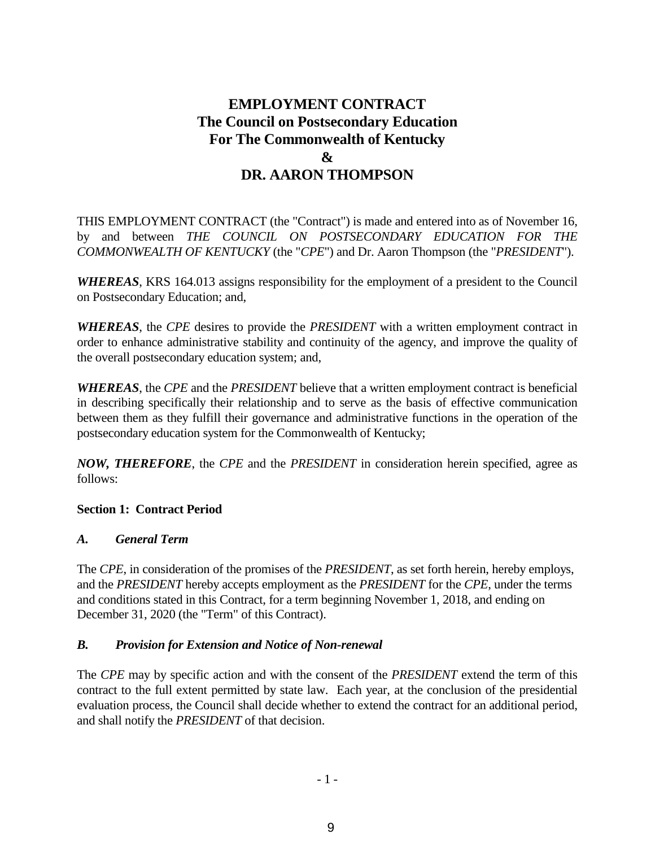# **EMPLOYMENT CONTRACT The Council on Postsecondary Education For The Commonwealth of Kentucky & DR. AARON THOMPSON**

THIS EMPLOYMENT CONTRACT (the "Contract") is made and entered into as of November 16, by and between *THE COUNCIL ON POSTSECONDARY EDUCATION FOR THE COMMONWEALTH OF KENTUCKY* (the "*CPE*") and Dr. Aaron Thompson (the "*PRESIDENT*").

*WHEREAS*, KRS 164.013 assigns responsibility for the employment of a president to the Council on Postsecondary Education; and,

*WHEREAS*, the *CPE* desires to provide the *PRESIDENT* with a written employment contract in order to enhance administrative stability and continuity of the agency, and improve the quality of the overall postsecondary education system; and,

*WHEREAS*, the *CPE* and the *PRESIDENT* believe that a written employment contract is beneficial in describing specifically their relationship and to serve as the basis of effective communication between them as they fulfill their governance and administrative functions in the operation of the postsecondary education system for the Commonwealth of Kentucky;

*NOW, THEREFORE*, the *CPE* and the *PRESIDENT* in consideration herein specified, agree as follows:

## **Section 1: Contract Period**

## *A. General Term*

The *CPE*, in consideration of the promises of the *PRESIDENT*, as set forth herein, hereby employs, and the *PRESIDENT* hereby accepts employment as the *PRESIDENT* for the *CPE*, under the terms and conditions stated in this Contract, for a term beginning November 1, 2018, and ending on December 31, 2020 (the "Term" of this Contract).

## *B. Provision for Extension and Notice of Non-renewal*

The *CPE* may by specific action and with the consent of the *PRESIDENT* extend the term of this contract to the full extent permitted by state law. Each year, at the conclusion of the presidential evaluation process, the Council shall decide whether to extend the contract for an additional period, and shall notify the *PRESIDENT* of that decision.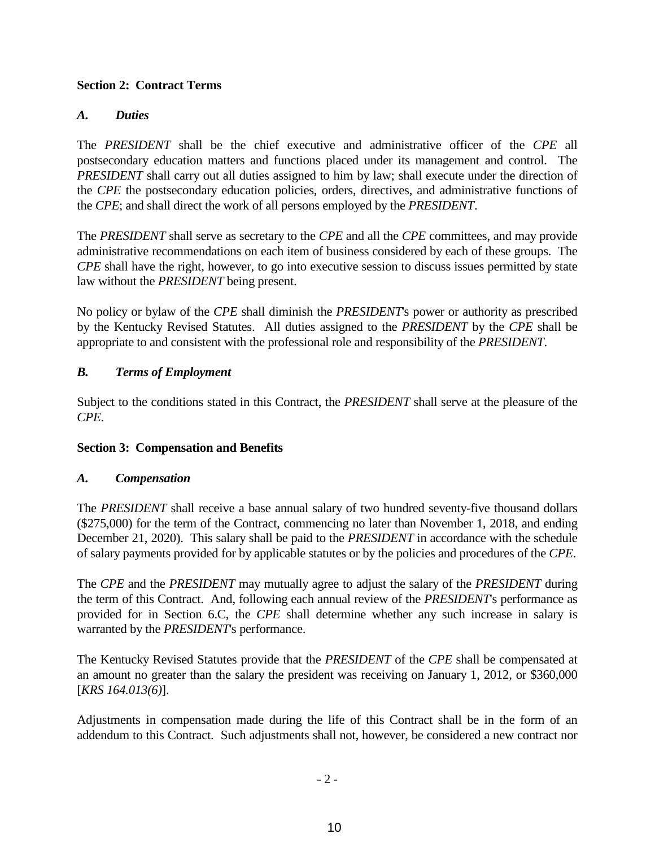#### **Section 2: Contract Terms**

#### *A. Duties*

The *PRESIDENT* shall be the chief executive and administrative officer of the *CPE* all postsecondary education matters and functions placed under its management and control. The *PRESIDENT* shall carry out all duties assigned to him by law; shall execute under the direction of the *CPE* the postsecondary education policies, orders, directives, and administrative functions of the *CPE*; and shall direct the work of all persons employed by the *PRESIDENT*.

The *PRESIDENT* shall serve as secretary to the *CPE* and all the *CPE* committees, and may provide administrative recommendations on each item of business considered by each of these groups. The *CPE* shall have the right, however, to go into executive session to discuss issues permitted by state law without the *PRESIDENT* being present.

No policy or bylaw of the *CPE* shall diminish the *PRESIDENT*'s power or authority as prescribed by the Kentucky Revised Statutes. All duties assigned to the *PRESIDENT* by the *CPE* shall be appropriate to and consistent with the professional role and responsibility of the *PRESIDENT*.

#### *B. Terms of Employment*

Subject to the conditions stated in this Contract, the *PRESIDENT* shall serve at the pleasure of the *CPE*.

#### **Section 3: Compensation and Benefits**

#### *A. Compensation*

The *PRESIDENT* shall receive a base annual salary of two hundred seventy-five thousand dollars (\$275,000) for the term of the Contract, commencing no later than November 1, 2018, and ending December 21, 2020). This salary shall be paid to the *PRESIDENT* in accordance with the schedule of salary payments provided for by applicable statutes or by the policies and procedures of the *CPE*.

The *CPE* and the *PRESIDENT* may mutually agree to adjust the salary of the *PRESIDENT* during the term of this Contract. And, following each annual review of the *PRESIDENT*'s performance as provided for in Section 6.C, the *CPE* shall determine whether any such increase in salary is warranted by the *PRESIDENT*'s performance.

The Kentucky Revised Statutes provide that the *PRESIDENT* of the *CPE* shall be compensated at an amount no greater than the salary the president was receiving on January 1, 2012, or \$360,000 [*KRS 164.013(6)*].

Adjustments in compensation made during the life of this Contract shall be in the form of an addendum to this Contract. Such adjustments shall not, however, be considered a new contract nor

 $-2-$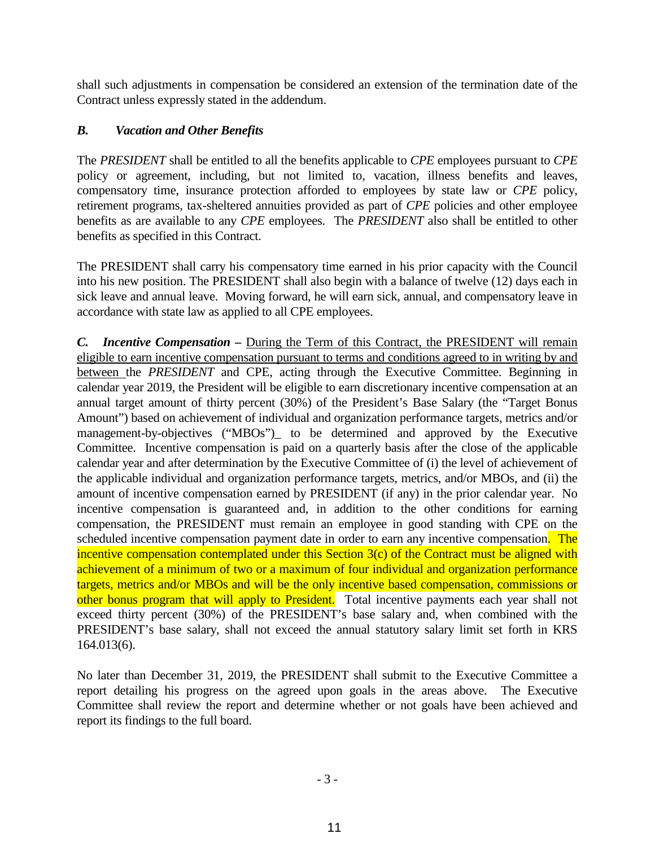shall such adjustments in compensation be considered an extension of the termination date of the Contract unless expressly stated in the addendum.

## *B. Vacation and Other Benefits*

The *PRESIDENT* shall be entitled to all the benefits applicable to *CPE* employees pursuant to *CPE* policy or agreement, including, but not limited to, vacation, illness benefits and leaves, compensatory time, insurance protection afforded to employees by state law or *CPE* policy, retirement programs, tax-sheltered annuities provided as part of *CPE* policies and other employee benefits as are available to any *CPE* employees. The *PRESIDENT* also shall be entitled to other benefits as specified in this Contract.

The PRESIDENT shall carry his compensatory time earned in his prior capacity with the Council into his new position. The PRESIDENT shall also begin with a balance of twelve (12) days each in sick leave and annual leave. Moving forward, he will earn sick, annual, and compensatory leave in accordance with state law as applied to all CPE employees.

*C. Incentive Compensation –* During the Term of this Contract, the PRESIDENT will remain eligible to earn incentive compensation pursuant to terms and conditions agreed to in writing by and between the *PRESIDENT* and CPE, acting through the Executive Committee. Beginning in calendar year 2019, the President will be eligible to earn discretionary incentive compensation at an annual target amount of thirty percent (30%) of the President's Base Salary (the "Target Bonus Amount") based on achievement of individual and organization performance targets, metrics and/or management-by-objectives ("MBOs") to be determined and approved by the Executive Committee. Incentive compensation is paid on a quarterly basis after the close of the applicable calendar year and after determination by the Executive Committee of (i) the level of achievement of the applicable individual and organization performance targets, metrics, and/or MBOs, and (ii) the amount of incentive compensation earned by PRESIDENT (if any) in the prior calendar year. No incentive compensation is guaranteed and, in addition to the other conditions for earning compensation, the PRESIDENT must remain an employee in good standing with CPE on the scheduled incentive compensation payment date in order to earn any incentive compensation. The incentive compensation contemplated under this Section 3(c) of the Contract must be aligned with achievement of a minimum of two or a maximum of four individual and organization performance targets, metrics and/or MBOs and will be the only incentive based compensation, commissions or other bonus program that will apply to President. Total incentive payments each year shall not exceed thirty percent (30%) of the PRESIDENT's base salary and, when combined with the PRESIDENT's base salary, shall not exceed the annual statutory salary limit set forth in KRS 164.013(6).

No later than December 31, 2019, the PRESIDENT shall submit to the Executive Committee a report detailing his progress on the agreed upon goals in the areas above. The Executive Committee shall review the report and determine whether or not goals have been achieved and report its findings to the full board.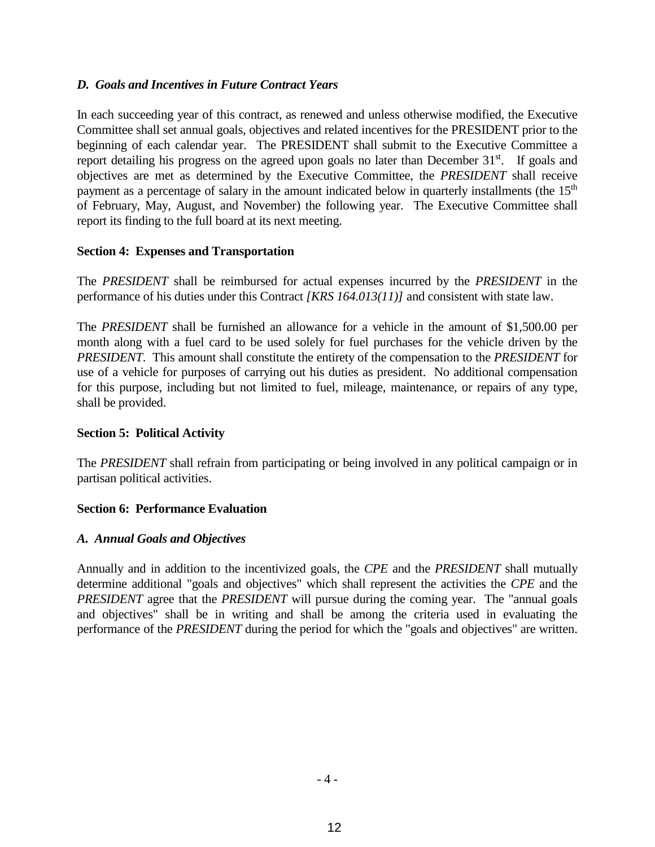#### *D. Goals and Incentives in Future Contract Years*

In each succeeding year of this contract, as renewed and unless otherwise modified, the Executive Committee shall set annual goals, objectives and related incentives for the PRESIDENT prior to the beginning of each calendar year. The PRESIDENT shall submit to the Executive Committee a report detailing his progress on the agreed upon goals no later than December 31<sup>st</sup>. If goals and objectives are met as determined by the Executive Committee, the *PRESIDENT* shall receive payment as a percentage of salary in the amount indicated below in quarterly installments (the 15<sup>th</sup>) of February, May, August, and November) the following year. The Executive Committee shall report its finding to the full board at its next meeting.

#### **Section 4: Expenses and Transportation**

The *PRESIDENT* shall be reimbursed for actual expenses incurred by the *PRESIDENT* in the performance of his duties under this Contract *[KRS 164.013(11)]* and consistent with state law.

The *PRESIDENT* shall be furnished an allowance for a vehicle in the amount of \$1,500.00 per month along with a fuel card to be used solely for fuel purchases for the vehicle driven by the *PRESIDENT*. This amount shall constitute the entirety of the compensation to the *PRESIDENT* for use of a vehicle for purposes of carrying out his duties as president. No additional compensation for this purpose, including but not limited to fuel, mileage, maintenance, or repairs of any type, shall be provided.

## **Section 5: Political Activity**

The *PRESIDENT* shall refrain from participating or being involved in any political campaign or in partisan political activities.

## **Section 6: Performance Evaluation**

## *A. Annual Goals and Objectives*

Annually and in addition to the incentivized goals, the *CPE* and the *PRESIDENT* shall mutually determine additional "goals and objectives" which shall represent the activities the *CPE* and the *PRESIDENT* agree that the *PRESIDENT* will pursue during the coming year. The "annual goals and objectives" shall be in writing and shall be among the criteria used in evaluating the performance of the *PRESIDENT* during the period for which the "goals and objectives" are written.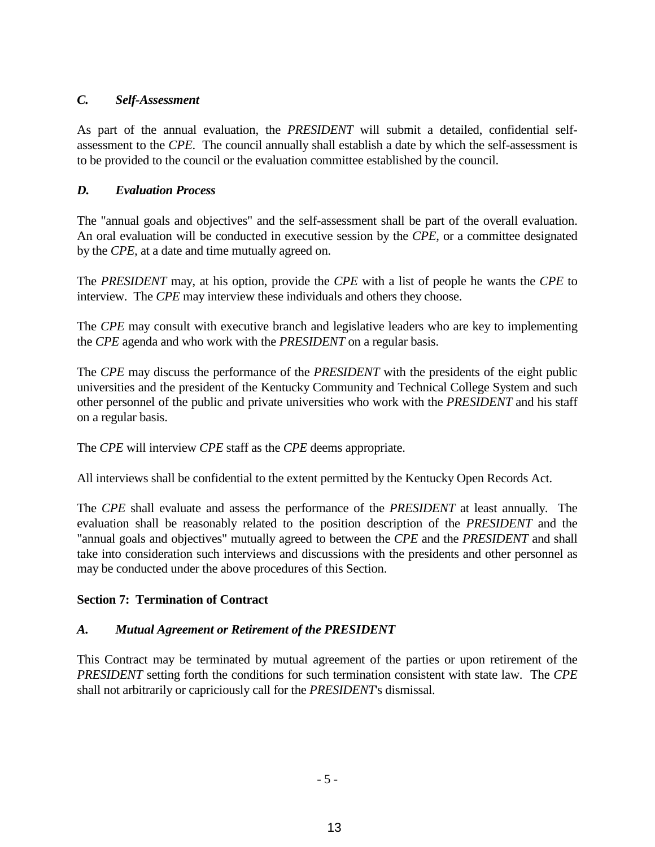## *C. Self-Assessment*

As part of the annual evaluation, the *PRESIDENT* will submit a detailed, confidential selfassessment to the *CPE*. The council annually shall establish a date by which the self-assessment is to be provided to the council or the evaluation committee established by the council.

## *D. Evaluation Process*

The "annual goals and objectives" and the self-assessment shall be part of the overall evaluation. An oral evaluation will be conducted in executive session by the *CPE,* or a committee designated by the *CPE,* at a date and time mutually agreed on.

The *PRESIDENT* may, at his option, provide the *CPE* with a list of people he wants the *CPE* to interview. The *CPE* may interview these individuals and others they choose.

The *CPE* may consult with executive branch and legislative leaders who are key to implementing the *CPE* agenda and who work with the *PRESIDENT* on a regular basis.

The *CPE* may discuss the performance of the *PRESIDENT* with the presidents of the eight public universities and the president of the Kentucky Community and Technical College System and such other personnel of the public and private universities who work with the *PRESIDENT* and his staff on a regular basis.

The *CPE* will interview *CPE* staff as the *CPE* deems appropriate.

All interviews shall be confidential to the extent permitted by the Kentucky Open Records Act.

The *CPE* shall evaluate and assess the performance of the *PRESIDENT* at least annually. The evaluation shall be reasonably related to the position description of the *PRESIDENT* and the "annual goals and objectives" mutually agreed to between the *CPE* and the *PRESIDENT* and shall take into consideration such interviews and discussions with the presidents and other personnel as may be conducted under the above procedures of this Section.

# **Section 7: Termination of Contract**

# *A. Mutual Agreement or Retirement of the PRESIDENT*

This Contract may be terminated by mutual agreement of the parties or upon retirement of the *PRESIDENT* setting forth the conditions for such termination consistent with state law. The *CPE* shall not arbitrarily or capriciously call for the *PRESIDENT*'s dismissal.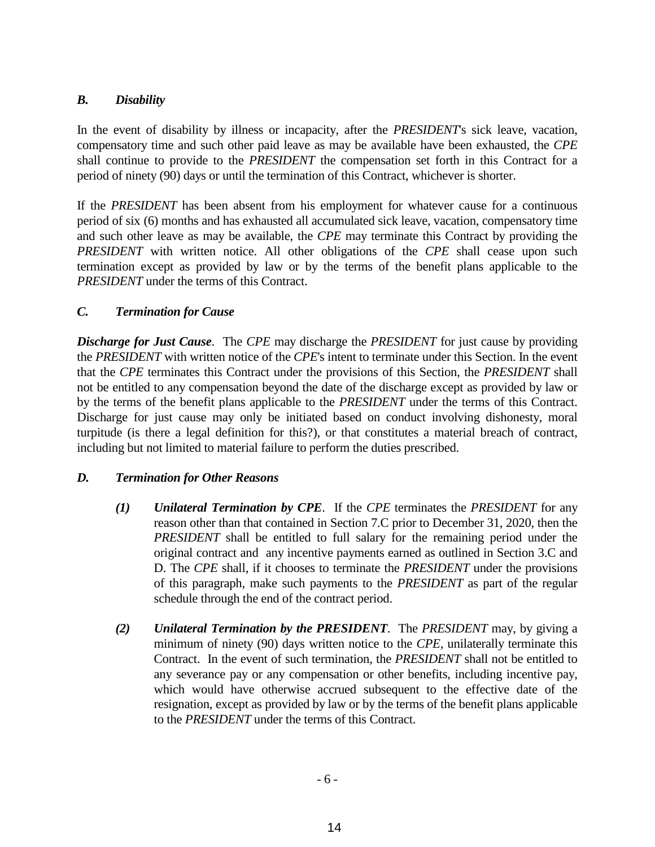## *B. Disability*

In the event of disability by illness or incapacity, after the *PRESIDENT*'s sick leave, vacation, compensatory time and such other paid leave as may be available have been exhausted, the *CPE* shall continue to provide to the *PRESIDENT* the compensation set forth in this Contract for a period of ninety (90) days or until the termination of this Contract, whichever is shorter.

If the *PRESIDENT* has been absent from his employment for whatever cause for a continuous period of six (6) months and has exhausted all accumulated sick leave, vacation, compensatory time and such other leave as may be available, the *CPE* may terminate this Contract by providing the *PRESIDENT* with written notice. All other obligations of the *CPE* shall cease upon such termination except as provided by law or by the terms of the benefit plans applicable to the *PRESIDENT* under the terms of this Contract.

#### *C. Termination for Cause*

*Discharge for Just Cause*. The *CPE* may discharge the *PRESIDENT* for just cause by providing the *PRESIDENT* with written notice of the *CPE*'s intent to terminate under this Section. In the event that the *CPE* terminates this Contract under the provisions of this Section, the *PRESIDENT* shall not be entitled to any compensation beyond the date of the discharge except as provided by law or by the terms of the benefit plans applicable to the *PRESIDENT* under the terms of this Contract. Discharge for just cause may only be initiated based on conduct involving dishonesty, moral turpitude (is there a legal definition for this?), or that constitutes a material breach of contract, including but not limited to material failure to perform the duties prescribed.

## *D. Termination for Other Reasons*

- *(1) Unilateral Termination by CPE*. If the *CPE* terminates the *PRESIDENT* for any reason other than that contained in Section 7.C prior to December 31, 2020, then the *PRESIDENT* shall be entitled to full salary for the remaining period under the original contract and any incentive payments earned as outlined in Section 3.C and D. The *CPE* shall, if it chooses to terminate the *PRESIDENT* under the provisions of this paragraph, make such payments to the *PRESIDENT* as part of the regular schedule through the end of the contract period.
- *(2) Unilateral Termination by the PRESIDENT*. The *PRESIDENT* may, by giving a minimum of ninety (90) days written notice to the *CPE*, unilaterally terminate this Contract. In the event of such termination, the *PRESIDENT* shall not be entitled to any severance pay or any compensation or other benefits, including incentive pay, which would have otherwise accrued subsequent to the effective date of the resignation, except as provided by law or by the terms of the benefit plans applicable to the *PRESIDENT* under the terms of this Contract.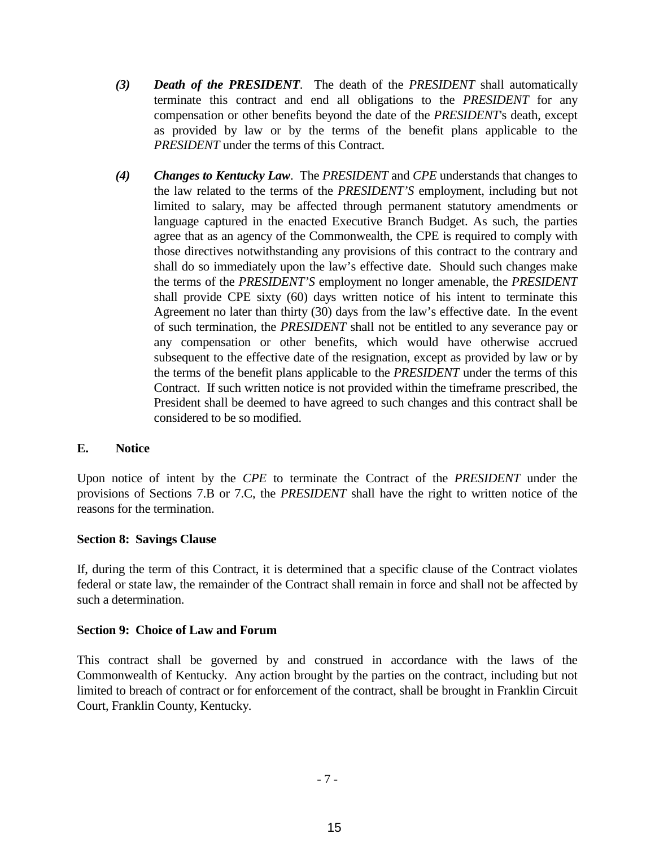- *(3) Death of the PRESIDENT*. The death of the *PRESIDENT* shall automatically terminate this contract and end all obligations to the *PRESIDENT* for any compensation or other benefits beyond the date of the *PRESIDENT*'s death, except as provided by law or by the terms of the benefit plans applicable to the *PRESIDENT* under the terms of this Contract.
- *(4) Changes to Kentucky Law*. The *PRESIDENT* and *CPE* understands that changes to the law related to the terms of the *PRESIDENT'S* employment, including but not limited to salary, may be affected through permanent statutory amendments or language captured in the enacted Executive Branch Budget. As such, the parties agree that as an agency of the Commonwealth, the CPE is required to comply with those directives notwithstanding any provisions of this contract to the contrary and shall do so immediately upon the law's effective date. Should such changes make the terms of the *PRESIDENT'S* employment no longer amenable, the *PRESIDENT*  shall provide CPE sixty (60) days written notice of his intent to terminate this Agreement no later than thirty (30) days from the law's effective date. In the event of such termination, the *PRESIDENT* shall not be entitled to any severance pay or any compensation or other benefits, which would have otherwise accrued subsequent to the effective date of the resignation, except as provided by law or by the terms of the benefit plans applicable to the *PRESIDENT* under the terms of this Contract. If such written notice is not provided within the timeframe prescribed, the President shall be deemed to have agreed to such changes and this contract shall be considered to be so modified.

#### **E. Notice**

Upon notice of intent by the *CPE* to terminate the Contract of the *PRESIDENT* under the provisions of Sections 7.B or 7.C, the *PRESIDENT* shall have the right to written notice of the reasons for the termination.

#### **Section 8: Savings Clause**

If, during the term of this Contract, it is determined that a specific clause of the Contract violates federal or state law, the remainder of the Contract shall remain in force and shall not be affected by such a determination.

#### **Section 9: Choice of Law and Forum**

This contract shall be governed by and construed in accordance with the laws of the Commonwealth of Kentucky. Any action brought by the parties on the contract, including but not limited to breach of contract or for enforcement of the contract, shall be brought in Franklin Circuit Court, Franklin County, Kentucky.